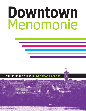# Downtown Menomonie

Menomonie, Wisconsin Downtown Renewed

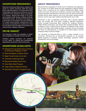### **DOWNTOWN MENOMONIE**

Welcome to Downtown Menomonie, located in the center of a vibrant community, filled with energy that is evident throughout. It is a place where many things happen because they are planned, and the potential for more activities is always a possibility. It is compact, allowing that energy to be contagious between public spaces, between buildings, and between events. As a place of exchange, it is a good place to do business, but more important, it is a place where families, entrepreneurs, thinkers, faculty, and students live, socialize and create the innovations that will shape the economic and cultural future of Western Wisconsin.

### **PRIME MARKET**

The Downtown Trade area population is 40,987 and is projected to increase to 43,441 by 2016.

UW-Stout student purchases are estimated at \$7.6 million on clothing and entertainment expenditures during the 9 month school year.

# **DOWNTOWN HIGHLIGHTS**

- $\odot$  Ranked #15 in top Small Towns in America by Smithsonian Magazine in 2012
- $\odot$  National Register of Historic Places
- $\odot$  Mabel Tainter Center for the Arts
- **<sup>O</sup>** University of Wisconsin-Stout
- Menomonie Market Food Co-op
- **Active Main Street Program**
- <sup>O</sup> Large Variety of Retail and Dining
- <sup>O</sup> Assortment of Events Throughout Year

**MENOMONIE**

## **ABOUT MENOMONIE**

Menomonie has a population of 16,000, and is a traditional, yet progressive city. A portion of our Main Street has been designated a National Historic District, and is anchored by the restored Victorian-Era Mabel Tainter Center for the Arts. We invite you to attend an evening at the theater, walk along the beautiful Lake Menomin in the heart of the city, attend summertime concerts and ice cream socials in one of our many parks, sporting events, festivals, and the many other traditions that Menomonie has to offer.

Menomonie is also a progressive community, with a thriving industrial base that includes 3M, Ford Motor Company, Wal-Mart Distribution Center, ConAgra Foods-Swiss Miss, Cardinal FG, Andersen Windows, Phillips Plastics Corporation, and several other industrial facilities. We are privileged to have a state-of-the-art Hospital and Medical Center (which are part of the Mayo Clinic Health System), a beautiful Library overlooking the shores of Lake Menomin, an excellent K-12 school system, and the Chippewa Valley Technical College.

The University of Wisconsin-Stout is also a valued member of our community. UW-Stout has an international reputation for its excellent degree programs in business, industry, technology, education, human development, and art and design.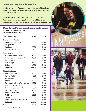### **Downtown Menomonie's Market**

With the University of Wisconsin-Stout in the heart of Downtown Menomonie, there is a vibrant customer base of people that visit and work in downtown.

Extensive market research demonstrates that Downtown Menomonie has existing capacity to support **additional** stores in its thriving downtown. An estimated **78,400 gross leasable area**.

|                                | <b>Downtown Menomonie Supportable Space</b> |  |  |
|--------------------------------|---------------------------------------------|--|--|
| <b>Ry Merchandise Category</b> |                                             |  |  |

| <b>Py Morthando Salogory</b> |  |
|------------------------------|--|
| (Gross Leasable Area)        |  |

| <b>Merchandise Category</b>             | 2010   | 2015   |
|-----------------------------------------|--------|--------|
| <b>Convenience Retailers</b>            |        |        |
| <b>Convenience Grocery</b>              | 2,000  | 2,000  |
| <b>Drug Stores</b>                      | 14,000 | 14,000 |
| Hardware                                | 7,500  | 7,500  |
| <b>Food/Health Stores</b>               | 1,200  | 1,200  |
| <b>Food Service</b>                     |        |        |
| <b>Full Service Restaurants</b>         | 9,000  | 12,000 |
| <b>Limited Service Restaurants</b>      | 6,000  | 6,000  |
| Ice Cream/Yogurt                        | 1,500  | 1,500  |
| Donut/Bagel                             | 2,500  | 2,500  |
| Coffee                                  | 2,000  | 2,000  |
| <b>Subtotal</b>                         | 45,700 | 48,700 |
| <b>Shopping Goods</b>                   |        |        |
| <b>Women's Clothing</b>                 | 6,000  | 6,000  |
| <b>Family Clothing</b>                  | 4,000  | 5,000  |
| Accessories                             | 600    | 600    |
| <b>Shoes</b>                            | 3,000  | 3,000  |
| <b>Furniture and Home Furnishings</b>   | 5,000  | 5,000  |
| Radio, TV & Electronics                 | 2,500  | 2,500  |
| Computers, Software, Music              | 1,000  | 1,000  |
| <b>Sporting Goods</b>                   | 3,000  | 3,000  |
| Hobby, Toy & Game                       | 1,600  | 1,600  |
| <b>Gift &amp; Novelty</b>               | 2,500  | 3,000  |
| Sewing                                  | 2,500  | 2,500  |
| <b>Other Health &amp; Personal Care</b> | 1,000  | 1,000  |
| <b>Subtotal</b>                         | 32,700 | 34,200 |
| <b>Total</b>                            | 78,400 | 82,900 |



Source: McComb Group, Ltd.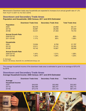Menomonie's Downtown trade area households are expected to increase at an annual growth rate of 1.2% from 15,211 in 2011 to 16,142 in 2016.

### **Downtown and Secondary Trade Areas Population and Households: 2000 Census; 2011 and 2016 Estimated**

|                           | <b>Downtown Trade Area</b> | <b>Secondary Trade Area</b> | <b>Total Trade Area</b> |
|---------------------------|----------------------------|-----------------------------|-------------------------|
| <b>Population</b>         |                            |                             |                         |
| 2000                      | 36,319                     | 23,858                      | 60,177                  |
| 2011E                     | 40,987                     | 26,046                      | 67,033                  |
| 2016E                     | 43,441                     | 27,303                      | 70,744                  |
| <b>Annual Growth Rate</b> |                            |                             |                         |
| 2000-2011E                | 1.11%                      | .80%                        | .99%                    |
| 2011-2016E                | 1.17%                      | .95%                        | 1.08%                   |
| <b>Households</b>         |                            |                             |                         |
| 2000                      | 13,004                     | 8,793                       | 21,797                  |
| 2011E                     | 15,211                     | 10,141                      | 25,352                  |
| 2016E                     | 16,142                     | 10,807                      | 26,949                  |
| <b>Annual Growth Rate</b> |                            |                             |                         |
| 2000-2011E                | 1.44%                      | 1.31%                       | 1.38%                   |
| 2011-2016E                | 1.20%                      | 1.28%                       | 1.23%                   |

### *E: Estimated*

*Source: US Census, Scan/US, Inc. and McComb Group, Ltd.* 

The average household income of the downtown trade area is estimated to grow to an average of \$70,479 by 2016.

### **Downtown and Secondary Trade Areas Average Household Income: 2000 Census: 2011 and 2016 Estimated**

|                         | <b>Downtown Trade Area</b> | <b>Secondary Trade Area</b> | <b>Total Trade Area</b> |
|-------------------------|----------------------------|-----------------------------|-------------------------|
| Average                 |                            |                             |                         |
| <b>Household Income</b> |                            |                             |                         |
| 2000                    | \$49,935                   | \$53,682                    | \$53,903                |
| 2011E                   | \$62,989                   | \$65,447                    | \$62,715                |
| 2016E                   | \$70,479                   | \$72,140                    | \$67,370                |

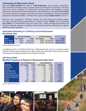### **University of Wisconsin-Stout**

With over **9,000 students** and close to **1,500 employees**, the University of Wisconsin-Stout (UW-Stout) provides a strong customer base for the downtown businesses. UW-Stout also serves as an attraction for conferences, sporting events and receptions drawing additional customers to Downtown Menomonie and contributing an estimated **\$115 million** in economic impact to the region. According to research conducted by Economic Modeling Specialists International (EMSI), UW-Stout drew approximately **65,200 visitors** in 2010-11.

Research was conducted of UW-Stout students and staff eating and spending habits. The total estimated clothing expenditures for students is **\$3.1 million** and an estimated \$4.5 million on entertainment during the school year. These estimates demonstrate that UW-Stout students represent a significant opportunity for Downtown Menomonie to capture additional student spending.

### **Estimated Spending for Clothing and Entertainment Per School Year**

|                    | <b>Live On Campus</b> |             | <b>Live Off Campus</b> |                   |              |
|--------------------|-----------------------|-------------|------------------------|-------------------|--------------|
| <b>Item</b>        | <b>Per Capita</b>     | Total       | <b>Per Capita</b>      | <b>Total</b>      | <b>Total</b> |
| Eau Claire         | \$310                 | \$973,000   |                        | \$355 \$2,194,000 | \$3,167,000  |
| <b>Twin Cities</b> | \$383                 | \$1,200,000 |                        | \$533 \$3,300,000 | \$4,500,000  |

Source: McComb Group, Ltd.

A significant portion of UW-Stout staff stay in Menomonie after work for a variety reasons. Overall, UW-Stout staff members stay in Menomonie after work about 9,000 times per month with dining and shopping being the most frequent activities.

### **UW-Stout Staff**

### **Monthly Frequency of Staying in Menomonie After Work**

|                          | <b>Live in Menomonie</b> |              | <b>Live Elsewhere</b> |              |              |
|--------------------------|--------------------------|--------------|-----------------------|--------------|--------------|
| <b>Activity</b>          | <b>Per Capita</b>        | <b>Total</b> | <b>Per Capita</b>     | <b>Total</b> | <b>Total</b> |
| Shopping                 | 1.89                     | 1,271        | 1.75                  | 1,184        | 2,455        |
| <b>Dining</b>            | 1.90                     | 1,280        | 1.63                  | 1,099        | 2,379        |
| <b>Entertainment</b>     | .48                      | 322          | .41                   | 279          | 601          |
| <b>Special Events</b>    | .62                      | 417          | .53                   | 356          | 773          |
| <b>Personal Business</b> | .99                      | 666          | .95                   | 644          | 1,310        |
| <b>Business Meeting</b>  | .57                      | 380          | .51                   | 388          | 735          |
| Other                    | .52                      | 347          | .57                   | 388          | 735          |
| <b>Total</b>             | 6.97                     | 4,683        | 6.35                  | 4,295        | 8,978        |

Source: McComb Group, Ltd.



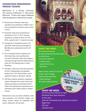### **DOWNTOWN MENOMONIE MARKET DRAWS**

Menomonie is a thriving community with growing employment in west-central Wisconsin. Factors that support additional retail development in Menomonie include:

- $\odot$  Menomonie's Downtown trade area population was estimated at 40,987 in 2011 and is projected to increase to about 43,441 in 2016.
- $\odot$  Downtown trade area households are estimated at 15,211 in 2011 and area expected to increase to about 16,142 in 2016, a growth rate of 1.2 percent annually.
- $\bullet$  Average 2011 household income in the Downtown trade area was estimated at \$62,989 and is estimated to be \$70,479 in 2016.
- $\odot$  Due to physical barriers created by the Red Cedar River and Lake Menomin, one-half of Downtown trade area shoppers must pass through downtown Menomonie to reach the I-94 shopping area on North Broadway.
- $\odot$  UW-Stout, which had a 2012 fall enrollment of 9,247 undergraduate and graduate students and 1,421 staff members, has a significant impact on downtown retailing.
- $\odot$  UW-Stout students represent a significant market. Estimated nine-month school year clothing purchases are estimated at \$3.2 million and entertainment expenditures are estimated at \$4.5 million based on student surveys.

Menomonie's many economic attributes, trade area population, and UW-Stout student and faculty provide support for expanded retail stores, restaurants, and services.



### **WHAT WE HAVE:**

- 38 service businesses 26 restaurants/taverns/coffee shops 24 retail stores
- 5 financial institutions
- 3 antique stores
- 1 grocery/food co-op
- 1 pharmacy

Mabel Tainter Center for the Arts Scenic Lake Frontage Veterans Memorial Park 3 state highways 521 public parking spaces

### **WHAT WE NEED:**

Informal surveys indicate we need: Breakfast/Diner style restaurant Variety store Café with homemade food, desserts and pastries Bagel shop Gift store Hardware store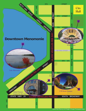